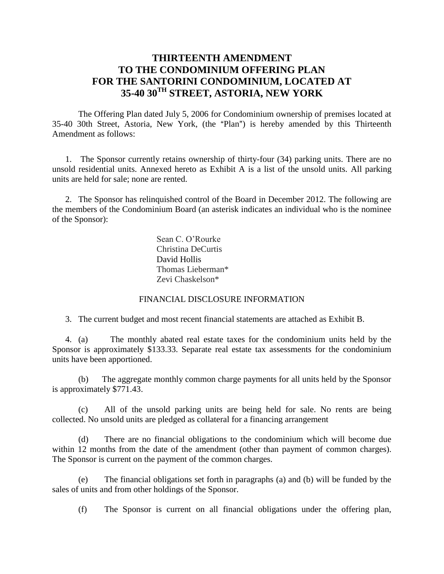# **THIRTEENTH AMENDMENT TO THE CONDOMINIUM OFFERING PLAN FOR THE SANTORINI CONDOMINIUM, LOCATED AT 35-40 30TH STREET, ASTORIA, NEW YORK**

The Offering Plan dated July 5, 2006 for Condominium ownership of premises located at 35-40 30th Street, Astoria, New York, (the "Plan") is hereby amended by this Thirteenth Amendment as follows:

1. The Sponsor currently retains ownership of thirty-four (34) parking units. There are no unsold residential units. Annexed hereto as Exhibit A is a list of the unsold units. All parking units are held for sale; none are rented.

2. The Sponsor has relinquished control of the Board in December 2012. The following are the members of the Condominium Board (an asterisk indicates an individual who is the nominee of the Sponsor):

> Sean C. O'Rourke Christina DeCurtis David Hollis Thomas Lieberman\* Zevi Chaskelson\*

## FINANCIAL DISCLOSURE INFORMATION

3. The current budget and most recent financial statements are attached as Exhibit B.

4. (a) The monthly abated real estate taxes for the condominium units held by the Sponsor is approximately \$133.33. Separate real estate tax assessments for the condominium units have been apportioned.

(b) The aggregate monthly common charge payments for all units held by the Sponsor is approximately \$771.43.

(c) All of the unsold parking units are being held for sale. No rents are being collected. No unsold units are pledged as collateral for a financing arrangement

(d) There are no financial obligations to the condominium which will become due within 12 months from the date of the amendment (other than payment of common charges). The Sponsor is current on the payment of the common charges.

(e) The financial obligations set forth in paragraphs (a) and (b) will be funded by the sales of units and from other holdings of the Sponsor.

(f) The Sponsor is current on all financial obligations under the offering plan,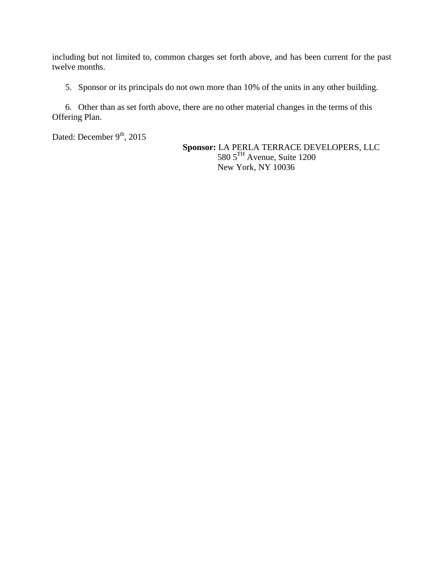including but not limited to, common charges set forth above, and has been current for the past twelve months.

5. Sponsor or its principals do not own more than 10% of the units in any other building.

6. Other than as set forth above, there are no other material changes in the terms of this Offering Plan.

Dated: December 9<sup>th</sup>, 2015

**Sponsor:** LA PERLA TERRACE DEVELOPERS, LLC 580 5<sup>TH</sup> Avenue, Suite 1200 New York, NY 10036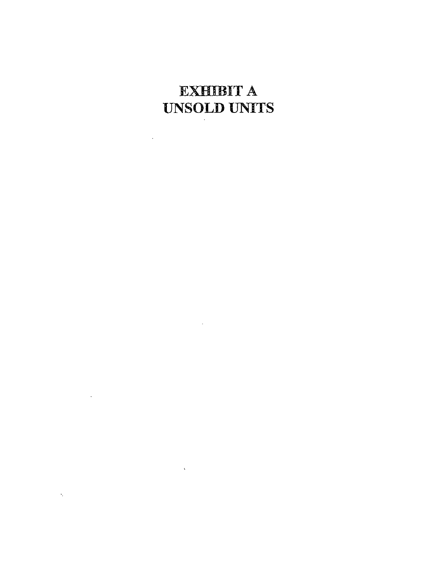# **EXHIBIT A UNSOLD UNITS**

 $\label{eq:2} \frac{1}{2} \sum_{i=1}^n \frac{1}{2} \sum_{j=1}^n \frac{1}{2} \sum_{j=1}^n \frac{1}{2} \sum_{j=1}^n \frac{1}{2} \sum_{j=1}^n \frac{1}{2} \sum_{j=1}^n \frac{1}{2} \sum_{j=1}^n \frac{1}{2} \sum_{j=1}^n \frac{1}{2} \sum_{j=1}^n \frac{1}{2} \sum_{j=1}^n \frac{1}{2} \sum_{j=1}^n \frac{1}{2} \sum_{j=1}^n \frac{1}{2} \sum_{j=1}^n \frac{1}{$ 

 $\mathcal{L}^{\text{max}}_{\text{max}}$  and  $\mathcal{L}^{\text{max}}_{\text{max}}$ 

 $\label{eq:2.1} \mathcal{L} = \mathcal{L} \left( \mathcal{L} \right) \mathcal{L} \left( \mathcal{L} \right)$ 

 $\mathcal{L}(\mathcal{L}^{\mathcal{L}})$  and  $\mathcal{L}(\mathcal{L}^{\mathcal{L}})$  . The contribution of  $\mathcal{L}^{\mathcal{L}}$ 

 $\label{eq:2} \mathcal{L}_{\text{max}} = \mathcal{L}_{\text{max}} + \mathcal{L}_{\text{max}} + \mathcal{L}_{\text{max}} + \mathcal{L}_{\text{max}}$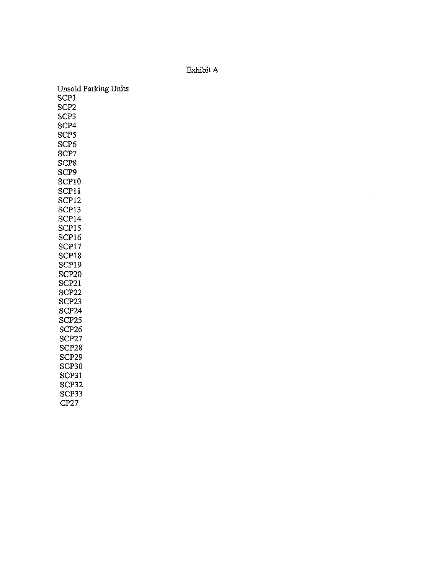## Exhibit A

Unsold Parking Units SCP1 SCP<sub>2</sub> SCP3 SCP4 SCP<sub>5</sub> SCP<sub>6</sub> SCP7 SCP<sub>8</sub> SCP9 SCP10 SCP11 SCP<sub>12</sub> SCP13 SCP14 SCP15 SCP16 SCP17 SCP18 SCP19 SCP<sub>20</sub> SCP21 SCP<sub>22</sub> SCP23 SCP<sub>24</sub> SCP25 SCP<sub>26</sub> SCP27 SCP28 SCP<sub>29</sub> SCP<sub>30</sub> SCP31 SCP32 SCP33  $CP27$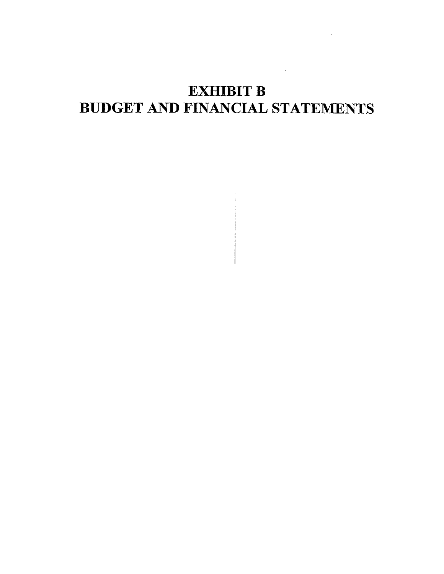# **EXHIBIT B BUDGET AND FINANCIAL STATEMENTS**

 $\sim 10^{-11}$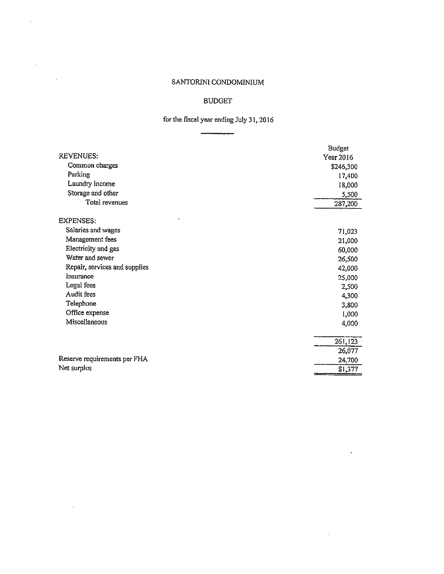$\bar{\mathcal{A}}$ 

 $\Delta \sim 10$ 

 $\mathcal{A}^{\text{max}}$ 

 $\sim$   $\sim$ 

## **BUDGET**

# for the fiscal year ending July 31, 2016

|                               | <b>Budget</b> |
|-------------------------------|---------------|
| <b>REVENUES:</b>              | Year 2016     |
| Common charges                | \$246,300     |
| Parking                       | 17,400        |
| Laundry income                | 18,000        |
| Storage and other             | 5,500         |
| Total revenues                | 287,200       |
| <b>EXPENSES:</b>              |               |
| Salaries and wages            | 71,023        |
| Management fees               | 21,000        |
| Electricity and gas           | 60,000        |
| Water and sewer               | 26,500        |
| Repair, services and supplies | 42,000        |
| Insurance                     | 25,000        |
| Legal fees                    | 2,500         |
| Audit fees                    | 4,300         |
| Telephone                     | 3,800         |
| Office expense                | 1,000         |
| Miscellaneous                 | 4,000         |
|                               | 261,123       |
|                               | 26,077        |
| Reserve requirements per FHA  | 24,700        |
| Net surplus                   | \$1,377       |

 $\sim 10^7$ 

 $\mathbb{Z}^2$ 

 $\sim 10^{-1}$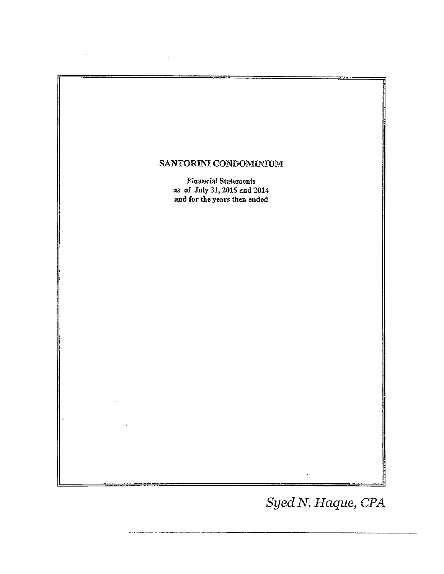

Syed N. Haque, CPA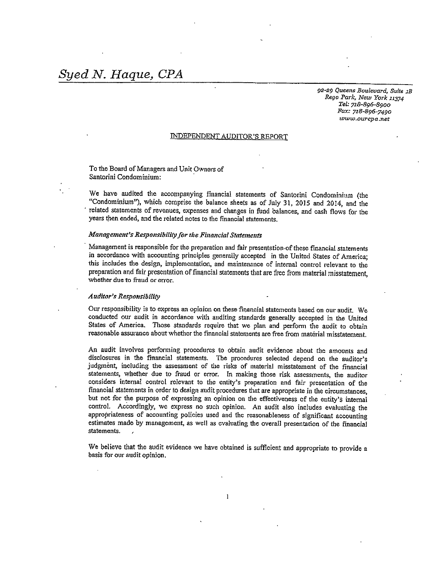92-29 Queens Boulevard, Suite 1B Rego Park, New York 11374 Tel: 718-896-8900 Fax: 718-896-7490 www.ourcpa.net

#### **INDEPENDENT AUDITOR'S REPORT**

To the Board of Managers and Unit Owners of Santorini Condominium:

We have audited the accompanying financial statements of Santorini Condominium (the "Condominium"), which comprise the balance sheets as of July 31, 2015 and 2014, and the related statements of revenues, expenses and changes in fund balances, and cash flows for the years then ended, and the related notes to the financial statements.

#### Management's Responsibility for the Financial Statements

Management is responsible for the preparation and fair presentation of these financial statements in accordance with accounting principles generally accepted in the United States of America; this includes the design, implementation, and maintenance of internal control relevant to the preparation and fair presentation of financial statements that are free from material misstatement, whether due to fraud or error.

#### **Auditor's Responsibility**

Our responsibility is to express an opinion on these financial statements based on our audit. We conducted our audit in accordance with auditing standards generally accepted in the United States of America. Those standards require that we plan and perform the audit to obtain reasonable assurance about whether the financial statements are free from material misstatement.

An audit involves performing procedures to obtain audit evidence about the amounts and disclosures in the financial statements. The procedures selected depend on the auditor's judgment, including the assessment of the risks of material misstatement of the financial statements, whether due to fraud or error. In making those risk assessments, the auditor considers internal control relevant to the entity's preparation and fair presentation of the financial statements in order to design audit procedures that are appropriate in the circumstances. but not for the purpose of expressing an opinion on the effectiveness of the entity's internal control. Accordingly, we express no such opinion. An audit also includes evaluating the appropriateness of accounting policies used and the reasonableness of significant accounting estimates made by management, as well as evaluating the overall presentation of the financial statements.

We believe that the audit evidence we have obtained is sufficient and appropriate to provide a basis for our audit opinion.

 $\mathbf{1}$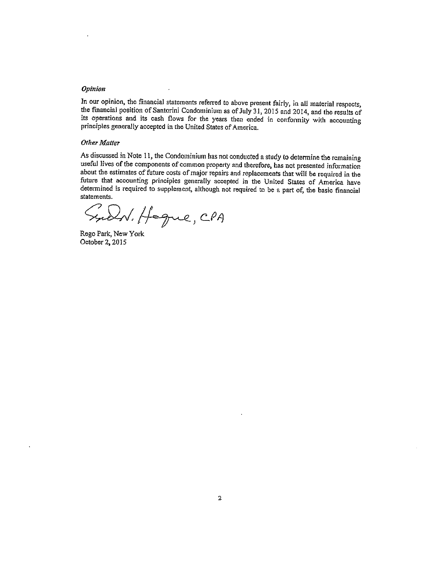#### **Opinion**

In our opinion, the financial statements referred to above present fairly, in all material respects, the financial position of Santorini Condominium as of July 31, 2015 and 2014, and the results of its operations and its cash flows for the years then ended in conformity with accounting principles generally accepted in the United States of America.

#### **Other Matter**

As discussed in Note 11, the Condominium has not conducted a study to determine the remaining useful lives of the components of common property and therefore, has not presented information about the estimates of future costs of major repairs and replacements that will be required in the future that accounting principles generally accepted in the United States of America have determined is required to supplement, although not required to be a part of, the basic financial statements.

Sucht. Hoque, CPA

Rego Park, New York October 2, 2015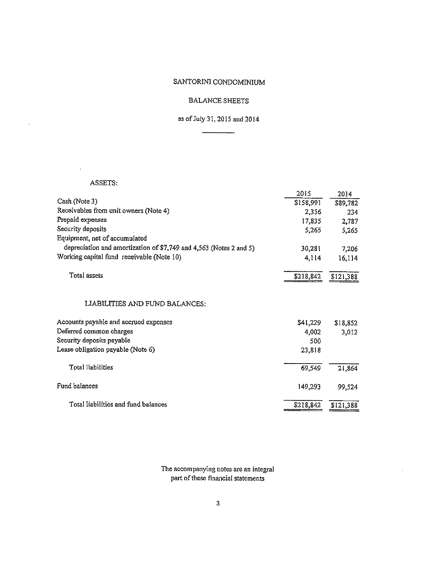### **BALANCE SHEETS**

## as of July 31, 2015 and 2014

## ASSETS:

 $\hat{\mathcal{A}}$ 

 $\hat{\mathcal{A}}$ 

 $\hat{\mathbf{r}}$ 

|                                                                    | 2015      | 2014      |
|--------------------------------------------------------------------|-----------|-----------|
| Cash (Note 3)                                                      | \$158,991 | \$89,782  |
| Receivables from unit owners (Note 4)                              | 2,356     | 234       |
| Prepaid expenses                                                   | 17,835    | 2,787     |
| Security deposits                                                  | 5,265     | 5,265     |
| Equipment, net of accumulated                                      |           |           |
| depreciation and amortization of \$7,749 and 4,563 (Notes 2 and 5) | 30,281    | 7,206     |
| Working capital fund receivable (Note 10)                          | 4,114     | 16,114    |
| Total assets                                                       | \$218,842 | \$121,388 |
| LIABILITIES AND FUND BALANCES:                                     |           |           |
| Accounts payable and accrued expenses                              | \$41,229  | \$18,852  |
| Deferred common charges                                            | 4,002     | 3,012     |
| Security deposits payable                                          | 500       |           |
| Lease obligation payable (Note 6)                                  | 23,818    |           |
| Total liabilities                                                  | 69,549    | 21,864    |
| Fund balances                                                      | 149,293   | 99,524    |
| Total liabilities and fund balances                                | \$218,842 | \$121,388 |

The accompanying notes are an integral part of these financial statements

 $\hat{\mathcal{L}}$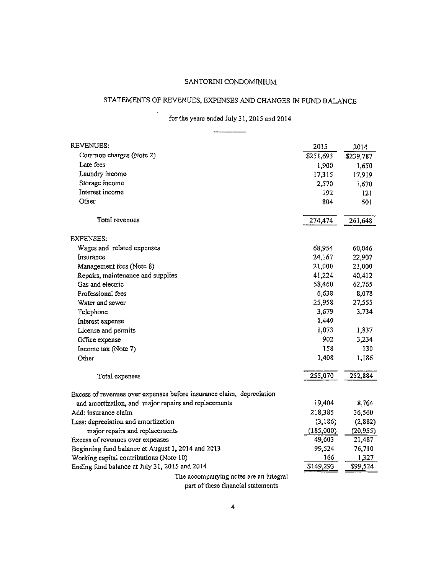# STATEMENTS OF REVENUES, EXPENSES AND CHANGES IN FUND BALANCE

for the years ended July 31, 2015 and 2014

 $\overline{\phantom{a}}$ 

| <b>REVENUES:</b>                                                      | 2015      | 2014      |
|-----------------------------------------------------------------------|-----------|-----------|
| Common charges (Note 2)                                               | \$251,693 | \$239,787 |
| Late fees                                                             | 1,900     | 1,650     |
| Laundry income                                                        | 17,315    | 17,919    |
| Storage income                                                        | 2,570     | 1,670     |
| Interest income                                                       | 192       | 121       |
| Other                                                                 | 804       | 501       |
| Total revenues                                                        | 274,474   | 261,648   |
| <b>EXPENSES:</b>                                                      |           |           |
| Wages and related expenses                                            | 68,954    | 60,046    |
| Insurance                                                             | 24,167    | 22,907    |
| Management fees (Note 8)                                              | 21,000    | 21,000    |
| Repairs, maintenance and supplies                                     | 41,224    | 40,412    |
| Gas and electric                                                      | 58,460    | 62,765    |
| Professional fees                                                     | 6,638     | 8,078     |
| Water and sewer                                                       | 25,958    | 27,555    |
| Telephone                                                             | 3,679     | 3,734     |
| Interest expense                                                      | 1,449     |           |
| License and permits                                                   | 1,073     | 1,837     |
| Office expense                                                        | 902       | 3,234     |
| Income tax (Note 7)                                                   | 158       | 130       |
| Other                                                                 | 1,408     | 1,186     |
| Total expenses                                                        | 255,070   | 252,884   |
| Excess of revenues over expenses before insurance claim, depreciation |           |           |
| and amortization, and major repairs and replacements                  | 19,404    | 8,764     |
| Add: insurance claim                                                  | 218,385   | 36,560    |
| Less: depreciation and amortization                                   | (3,186)   | (2,882)   |
| major repairs and replacements                                        | (185,000) | (20, 955) |
| Excess of revenues over expenses                                      | 49,603    | 21,487    |
| Beginning fund balance at August 1, 2014 and 2013                     | 99,524    | 76,710    |
| Working capital contributions (Note 10)                               | 166       | 1,327     |
| Ending fund balance at July 31, 2015 and 2014                         | \$149,293 | \$99,524  |
| The accompanying notes are an integral                                |           |           |

part of these financial statements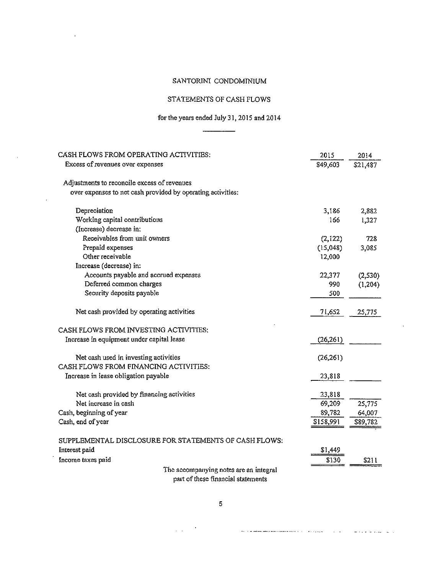## STATEMENTS OF CASH FLOWS

## for the years ended July 31, 2015 and 2014

 $\overline{\phantom{a}}$ 

 $\bar{.}$ 

| CASH FLOWS FROM OPERATING ACTIVITIES:                       | 2015      | 2014     |
|-------------------------------------------------------------|-----------|----------|
| Excess of revenues over expenses                            | \$49,603  | \$21,487 |
| Adjustments to reconcile excess of revenues                 |           |          |
| over expenses to net cash provided by operating activities: |           |          |
| Depreciation                                                | 3,186     | 2,882    |
| Working capital contributions                               | 166       | 1,327    |
| (Increase) decrease in:                                     |           |          |
| Receivables from unit owners                                | (2,122)   | 728      |
| Prepaid expenses                                            | (15,048)  | 3,085    |
| Other receivable                                            | 12,000    |          |
| Increase (decrease) in:                                     |           |          |
| Accounts payable and accrued expenses                       | 22,377    | (2,530)  |
| Deferred common charges                                     | 990       | (1, 204) |
| Security deposits payable                                   | 500       |          |
| Net cash provided by operating activities                   | 71,652    | 25,775   |
| CASH FLOWS FROM INVESTING ACTIVITIES:                       |           |          |
| Increase in equipment under capital lease                   | (26, 261) |          |
| Net cash used in investing activities                       | (26, 261) |          |
| CASH FLOWS FROM FINANCING ACTIVITIES:                       |           |          |
| Increase in lease obligation payable                        | 23,818    |          |
| Net cash provided by financing activities                   | 23,818    |          |
| Net increase in cash                                        | 69,209    | 25,775   |
| Cash, beginning of year                                     | 89,782    | 64,007   |
| Cash, end of year                                           | \$158,991 | \$89,782 |
| SUPPLEMENTAL DISCLOSURE FOR STATEMENTS OF CASH FLOWS:       |           |          |
| Interest paid                                               | \$1,449   |          |
| Income taxes paid                                           | \$130     | \$211    |
| The accompanying notes are an integral                      |           |          |

part of these financial statements

an a managaman ana ana ana antara sa sa taon an an san an san an san an san an an an an an san an s

 $\mathcal{L}(\mathcal{L})$  and  $\mathcal{L}(\mathcal{L})$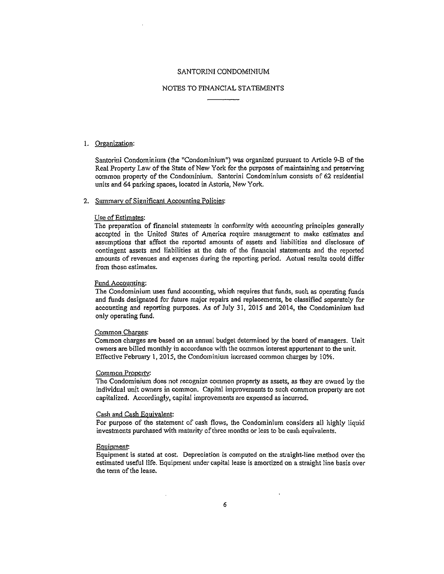#### NOTES TO FINANCIAL STATEMENTS

#### 1. Organization:

Santorini Condominium (the "Condominium") was organized pursuant to Article 9-B of the Real Property Law of the State of New York for the purposes of maintaining and preserving common property of the Condominium. Santorini Condominium consists of 62 residential units and 64 parking spaces, located in Astoria, New York.

#### 2. Summary of Significant Accounting Policies:

#### Use of Estimates:

The preparation of financial statements in conformity with accounting principles generally accepted in the United States of America require management to make estimates and assumptions that affect the reported amounts of assets and liabilities and disclosure of contingent assets and liabilities at the date of the financial statements and the reported amounts of revenues and expenses during the reporting period. Actual results could differ from those estimates.

#### Fund Accounting:

The Condominium uses fund accounting, which requires that funds, such as operating funds and funds designated for future major repairs and replacements, be classified separately for accounting and reporting purposes. As of July 31, 2015 and 2014, the Condominium had only operating fund.

#### Common Charges:

Common charges are based on an annual budget determined by the board of managers. Unit owners are billed monthly in accordance with the common interest apportenant to the unit. Effective February 1, 2015, the Condominium increased common charges by 10%.

#### Common Property:

The Condominium does not recognize common property as assets, as they are owned by the individual unit owners in common. Capital improvements to such common property are not capitalized. Accordingly, capital improvements are expensed as incurred.

#### Cash and Cash Equivalent:

For purpose of the statement of cash flows, the Condominium considers all highly liquid investments purchased with maturity of three months or less to be cash equivalents.

#### **Equipment:**

Equipment is stated at cost. Depreciation is computed on the straight-line method over the estimated useful life. Equipment under capital lease is amortized on a straight line basis over the term of the lease.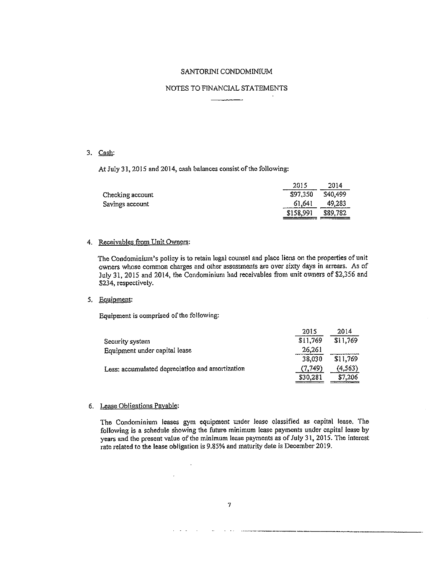#### NOTES TO FINANCIAL STATEMENTS

#### 3. Cash:

At July 31, 2015 and 2014, cash balances consist of the following:

|                  | 2015      | 2014     |
|------------------|-----------|----------|
| Checking account | \$97,350  | \$40,499 |
| Savings account  | 61,641    | 49,283   |
|                  | \$158,991 | \$89,782 |

#### 4. Receivables from Unit Owners:

The Condominium's policy is to retain legal counsel and place liens on the properties of unit owners whose common charges and other assessments are over sixty days in arrears. As of July 31, 2015 and 2014, the Condominium had receivables from unit owners of \$2,356 and \$234, respectively.

#### 5. Equipment:

Equipment is comprised of the following:

|                                                 | 2015     | 2014     |
|-------------------------------------------------|----------|----------|
| Security system                                 | \$11,769 | \$11,769 |
| Equipment under capital lease                   | 26,261   |          |
|                                                 | 38,030   | \$11,769 |
| Less: accumulated depreciation and amortization | (7.749)  | (4, 563) |
|                                                 | \$30,281 | \$7,206  |

#### 6. Lease Obligations Payable:

The Condominium leases gym equipment under lease classified as capital lease. The following is a schedule showing the future minimum lease payments under capital lease by years and the present value of the minimum lease payments as of July 31, 2015. The interest rate related to the lease obligation is 9.85% and maturity date is December 2019.

 $\ddot{\phantom{a}}$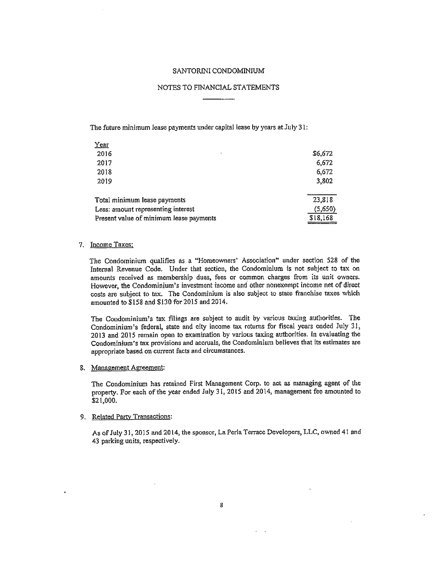#### NOTES TO FINANCIAL STATEMENTS

The future minimum lease payments under capital lease by years at July 31:

| $Year$                                  |          |
|-----------------------------------------|----------|
| 2016                                    | \$6,672  |
| 2017                                    | 6,672    |
| 2018                                    | 6,672    |
| 2019                                    | 3,802    |
| Total minimum lease payments            | 23,818   |
| Less: amount representing interest      | (5,650)  |
| Present value of minimum lease payments | \$18,168 |

#### 7. Income Taxes:

The Condominium qualifies as a "Homeowners' Association" under section 528 of the Internal Revenue Code. Under that section, the Condominium is not subject to tax on amounts received as membership dues, fees or common charges from its unit owners. However, the Condominium's investment income and other nonexempt income net of direct costs are subject to tax. The Condominium is also subject to state franchise taxes which amounted to \$158 and \$130 for 2015 and 2014.

The Condominium's tax filings are subject to audit by various taxing authorities. The Condominium's federal, state and city income tax returns for fiscal years ended July 31, 2013 and 2015 remain open to examination by various taxing authorities. In evaluating the Condominium's tax provisions and accruals, the Condominium believes that its estimates are appropriate based on current facts and circumstances.

#### 8. Management Agreement:

The Condominium has retained First Management Corp. to act as managing agent of the property. For each of the year ended July 31, 2015 and 2014, management fee amounted to \$21,000.

#### 9. Related Party Transactions:

 $\hat{\mathbf{r}}$ 

As of July 31, 2015 and 2014, the sponsor, La Perla Terrace Developers, LLC, owned 41 and 43 parking units, respectively.